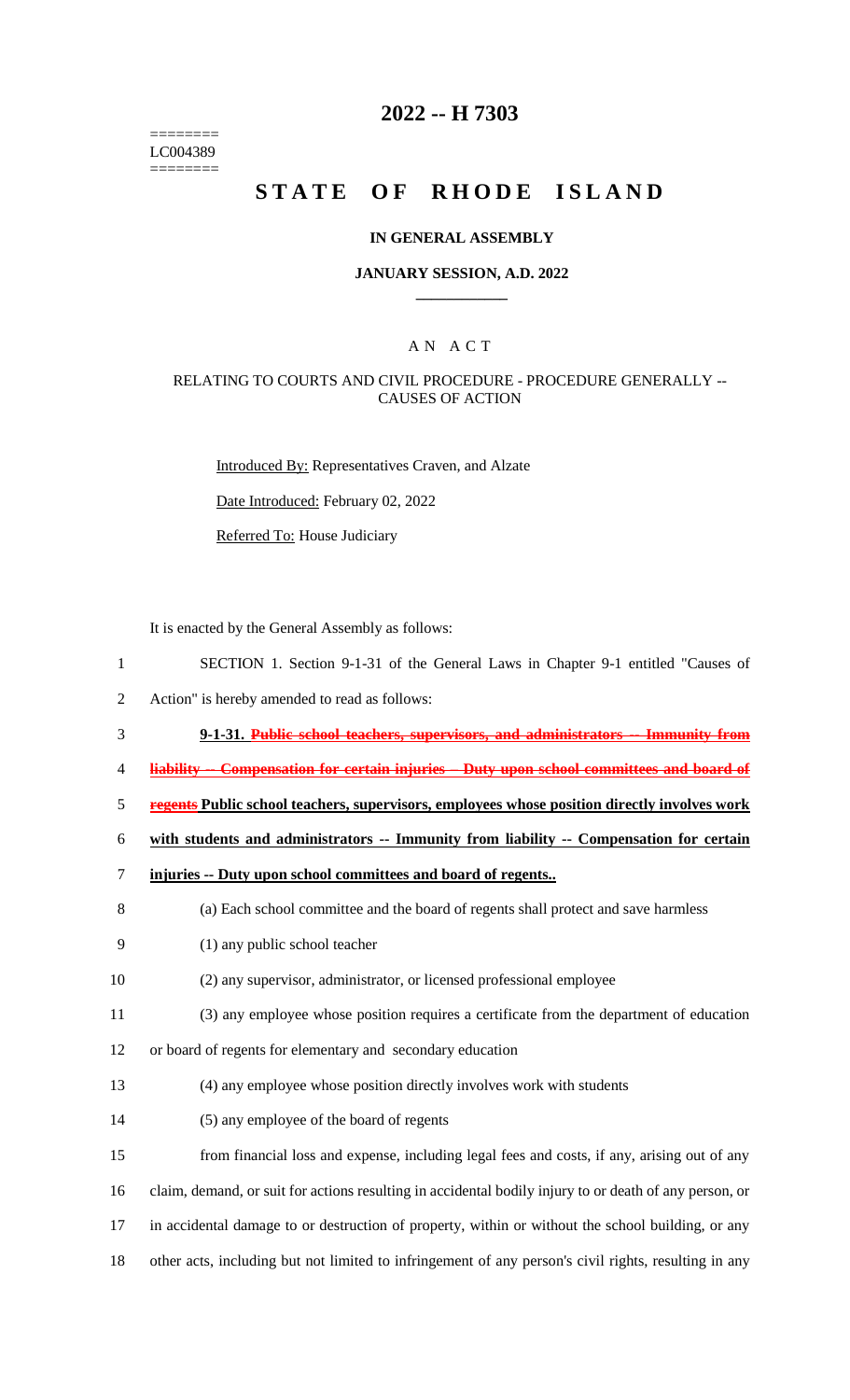======== LC004389 ========

# **2022 -- H 7303**

# **STATE OF RHODE ISLAND**

### **IN GENERAL ASSEMBLY**

### **JANUARY SESSION, A.D. 2022 \_\_\_\_\_\_\_\_\_\_\_\_**

### A N A C T

### RELATING TO COURTS AND CIVIL PROCEDURE - PROCEDURE GENERALLY -- CAUSES OF ACTION

Introduced By: Representatives Craven, and Alzate

Date Introduced: February 02, 2022

Referred To: House Judiciary

It is enacted by the General Assembly as follows:

- 1 SECTION 1. Section 9-1-31 of the General Laws in Chapter 9-1 entitled "Causes of
- 2 Action" is hereby amended to read as follows:
- 3 **9-1-31. Public school teachers, supervisors, and administrators -- Immunity from**
- 4 **liability -- Compensation for certain injuries – Duty upon school committees and board of**
- 5 **regents Public school teachers, supervisors, employees whose position directly involves work**

6 **with students and administrators -- Immunity from liability -- Compensation for certain** 

|  |  |  |  |  | injuries -- Duty upon school committees and board of regents |  |  |  |  |
|--|--|--|--|--|--------------------------------------------------------------|--|--|--|--|
|--|--|--|--|--|--------------------------------------------------------------|--|--|--|--|

- 8 (a) Each school committee and the board of regents shall protect and save harmless
- 9 (1) any public school teacher
- 10 (2) any supervisor, administrator, or licensed professional employee
- 11 (3) any employee whose position requires a certificate from the department of education
- 12 or board of regents for elementary and secondary education
- 13 (4) any employee whose position directly involves work with students
- 14 (5) any employee of the board of regents
- 15 from financial loss and expense, including legal fees and costs, if any, arising out of any
- 16 claim, demand, or suit for actions resulting in accidental bodily injury to or death of any person, or
- 17 in accidental damage to or destruction of property, within or without the school building, or any
- 18 other acts, including but not limited to infringement of any person's civil rights, resulting in any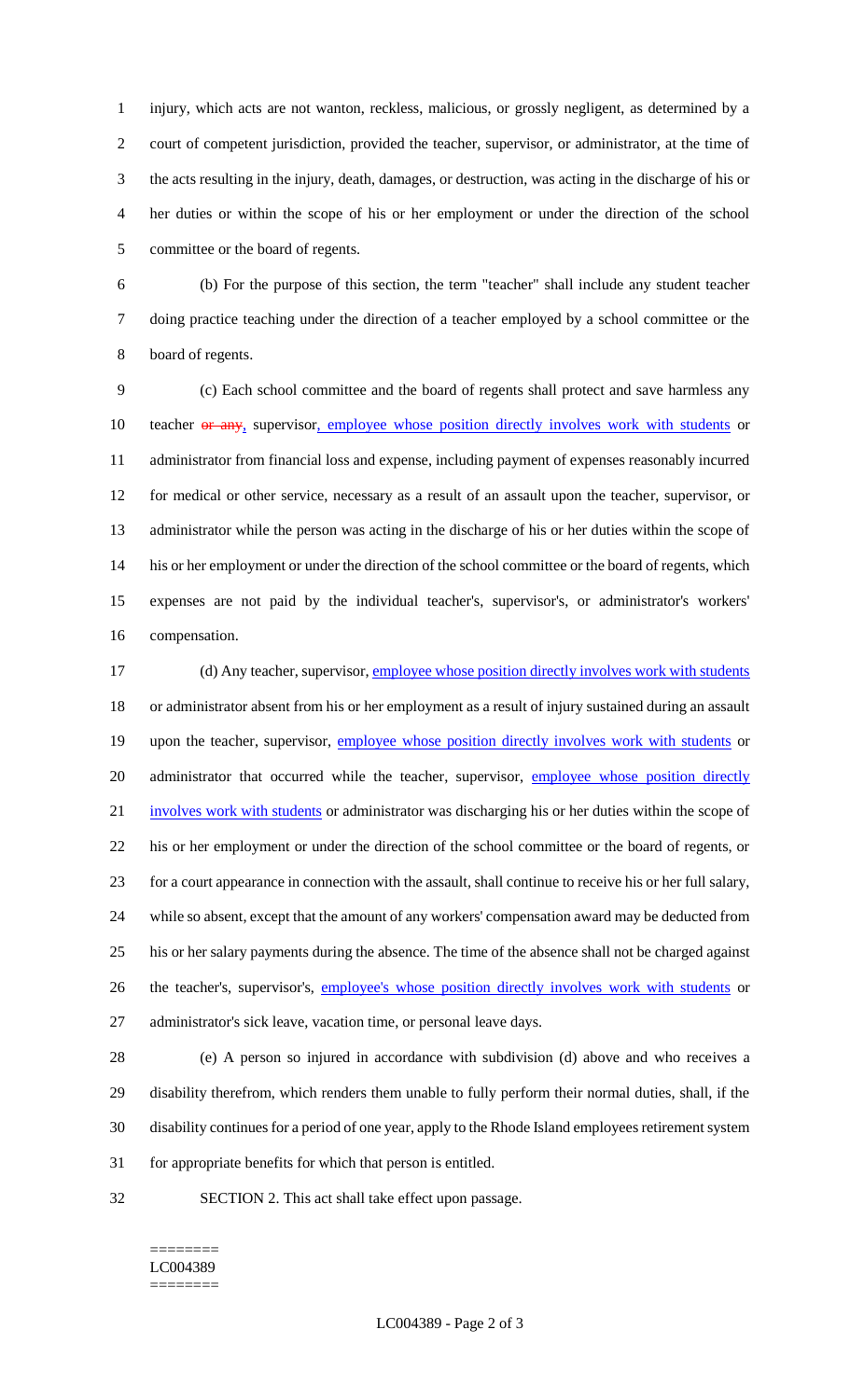injury, which acts are not wanton, reckless, malicious, or grossly negligent, as determined by a court of competent jurisdiction, provided the teacher, supervisor, or administrator, at the time of the acts resulting in the injury, death, damages, or destruction, was acting in the discharge of his or her duties or within the scope of his or her employment or under the direction of the school committee or the board of regents.

 (b) For the purpose of this section, the term "teacher" shall include any student teacher doing practice teaching under the direction of a teacher employed by a school committee or the board of regents.

 (c) Each school committee and the board of regents shall protect and save harmless any 10 teacher or any, supervisor, employee whose position directly involves work with students or administrator from financial loss and expense, including payment of expenses reasonably incurred for medical or other service, necessary as a result of an assault upon the teacher, supervisor, or administrator while the person was acting in the discharge of his or her duties within the scope of his or her employment or under the direction of the school committee or the board of regents, which expenses are not paid by the individual teacher's, supervisor's, or administrator's workers' compensation.

17 (d) Any teacher, supervisor, employee whose position directly involves work with students or administrator absent from his or her employment as a result of injury sustained during an assault 19 upon the teacher, supervisor, employee whose position directly involves work with students or 20 administrator that occurred while the teacher, supervisor, employee whose position directly 21 involves work with students or administrator was discharging his or her duties within the scope of his or her employment or under the direction of the school committee or the board of regents, or for a court appearance in connection with the assault, shall continue to receive his or her full salary, while so absent, except that the amount of any workers' compensation award may be deducted from his or her salary payments during the absence. The time of the absence shall not be charged against 26 the teacher's, supervisor's, employee's whose position directly involves work with students or administrator's sick leave, vacation time, or personal leave days.

 (e) A person so injured in accordance with subdivision (d) above and who receives a disability therefrom, which renders them unable to fully perform their normal duties, shall, if the disability continues for a period of one year, apply to the Rhode Island employees retirement system for appropriate benefits for which that person is entitled.

SECTION 2. This act shall take effect upon passage.

#### ======== LC004389 ========